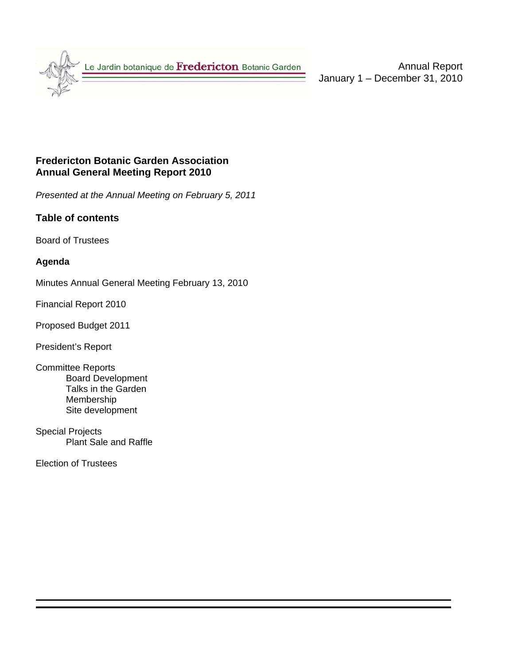

Annual Report January 1 – December 31, 2010

# **Fredericton Botanic Garden Association Annual General Meeting Report 2010**

*Presented at the Annual Meeting on February 5, 2011* 

# **Table of contents**

Board of Trustees

#### **Agenda**

Minutes Annual General Meeting February 13, 2010

Financial Report 2010

Proposed Budget 2011

President's Report

- Committee Reports Board Development Talks in the Garden Membership Site development
- Special Projects Plant Sale and Raffle

Election of Trustees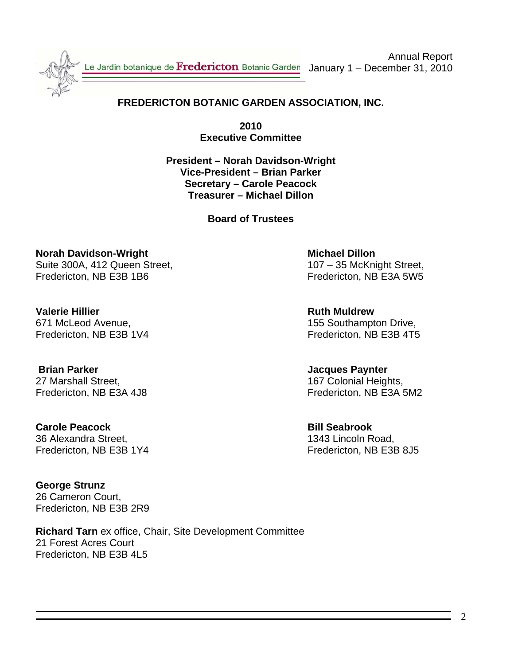

Le Jardin botanique de Fredericton Botanic Garden January 1 – December 31, 2010

Annual Report

# **FREDERICTON BOTANIC GARDEN ASSOCIATION, INC.**

**2010 Executive Committee** 

**President – Norah Davidson-Wright Vice-President – Brian Parker Secretary – Carole Peacock Treasurer – Michael Dillon** 

**Board of Trustees** 

**Norah Davidson-Wright Michael Dillon 2018** Michael Dillon Suite 300A, 412 Queen Street, 107 – 35 McKnight Street, Fredericton, NB E3B 1B6 Fredericton, NB E3A 5W5

**Valerie Hillier Ruth Muldrew** 671 McLeod Avenue, 155 Southampton Drive,

 **Brian Parker Jacques Paynter** 27 Marshall Street, 27 Marshall Street, 27 Marshall Heights, 27 Marshall Heights, 27 Marshall Heights, 27 Marshall Heights, 2016

**Carole Peacock Bill Seabrook** 36 Alexandra Street, 1343 Lincoln Road, Fredericton, NB E3B 1Y4 Fredericton, NB E3B 8J5

**George Strunz**  26 Cameron Court, Fredericton, NB E3B 2R9

**Richard Tarn** ex office, Chair, Site Development Committee 21 Forest Acres Court Fredericton, NB E3B 4L5

Fredericton, NB E3B 1V4 Fredericton, NB E3B 4T5

Fredericton, NB E3A 4J8 Fredericton, NB E3A 5M2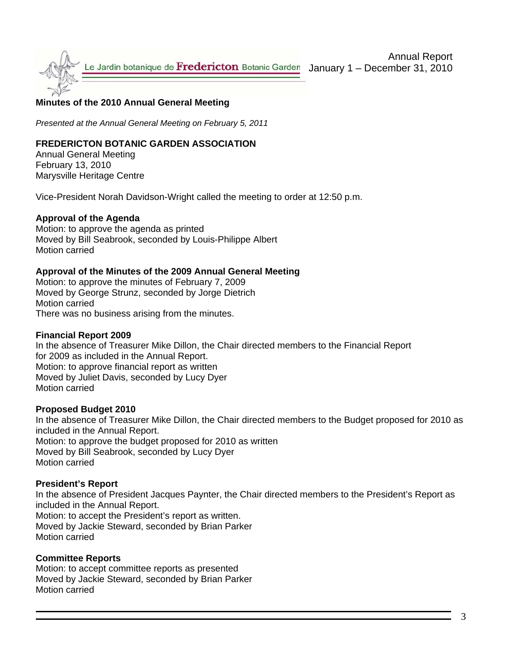

#### **Minutes of the 2010 Annual General Meeting**

*Presented at the Annual General Meeting on February 5, 2011*

#### **FREDERICTON BOTANIC GARDEN ASSOCIATION**

Annual General Meeting February 13, 2010 Marysville Heritage Centre

Vice-President Norah Davidson-Wright called the meeting to order at 12:50 p.m.

#### **Approval of the Agenda**

Motion: to approve the agenda as printed Moved by Bill Seabrook, seconded by Louis-Philippe Albert Motion carried

#### **Approval of the Minutes of the 2009 Annual General Meeting**

Motion: to approve the minutes of February 7, 2009 Moved by George Strunz, seconded by Jorge Dietrich Motion carried There was no business arising from the minutes.

#### **Financial Report 2009**

In the absence of Treasurer Mike Dillon, the Chair directed members to the Financial Report for 2009 as included in the Annual Report. Motion: to approve financial report as written Moved by Juliet Davis, seconded by Lucy Dyer Motion carried

#### **Proposed Budget 2010**

In the absence of Treasurer Mike Dillon, the Chair directed members to the Budget proposed for 2010 as included in the Annual Report. Motion: to approve the budget proposed for 2010 as written Moved by Bill Seabrook, seconded by Lucy Dyer Motion carried

#### **President's Report**

In the absence of President Jacques Paynter, the Chair directed members to the President's Report as included in the Annual Report.

Motion: to accept the President's report as written. Moved by Jackie Steward, seconded by Brian Parker Motion carried

#### **Committee Reports**

Motion: to accept committee reports as presented Moved by Jackie Steward, seconded by Brian Parker Motion carried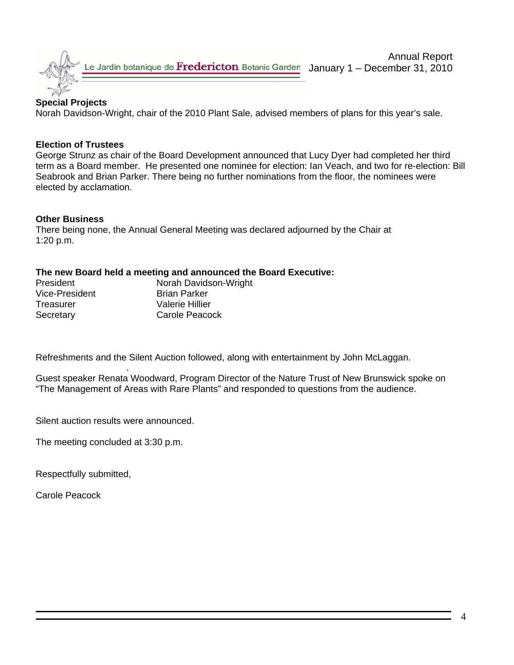

Le Jardin botanique de Fredericton Botanic Garden

January 1 – December 31, 2010

# **Special Projects**

Norah Davidson-Wright, chair of the 2010 Plant Sale, advised members of plans for this year's sale.

#### **Election of Trustees**

George Strunz as chair of the Board Development announced that Lucy Dyer had completed her third term as a Board member. He presented one nominee for election: Ian Veach, and two for re-election: Bill Seabrook and Brian Parker. There being no further nominations from the floor, the nominees were elected by acclamation.

#### **Other Business**

There being none, the Annual General Meeting was declared adjourned by the Chair at 1:20 p.m.

#### **The new Board held a meeting and announced the Board Executive:**

| <b>President</b> | Norah Davidson-Wright |
|------------------|-----------------------|
| Vice-President   | <b>Brian Parker</b>   |
| Treasurer        | Valerie Hillier       |
| Secretary        | Carole Peacock        |

Refreshments and the Silent Auction followed, along with entertainment by John McLaggan.

 . Guest speaker Renata Woodward, Program Director of the Nature Trust of New Brunswick spoke on "The Management of Areas with Rare Plants" and responded to questions from the audience.

Silent auction results were announced.

The meeting concluded at 3:30 p.m.

Respectfully submitted,

Carole Peacock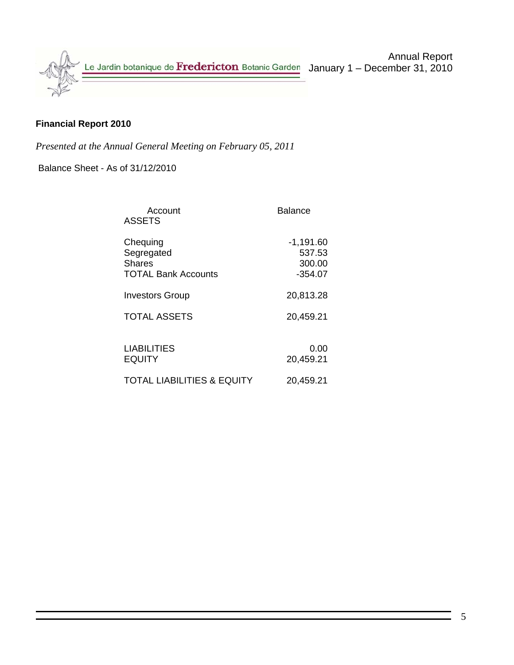

# **Financial Report 2010**

*Presented at the Annual General Meeting on February 05, 2011* 

Balance Sheet - As of 31/12/2010

| Account<br><b>ASSETS</b>                                              | Balance                                      |
|-----------------------------------------------------------------------|----------------------------------------------|
| Chequing<br>Segregated<br><b>Shares</b><br><b>TOTAL Bank Accounts</b> | $-1,191.60$<br>537.53<br>300.00<br>$-354.07$ |
| <b>Investors Group</b>                                                | 20,813.28                                    |
| <b>TOTAL ASSETS</b>                                                   | 20,459.21                                    |
| <b>LIABILITIES</b><br><b>EQUITY</b>                                   | 0.00<br>20,459.21                            |
| <b>TOTAL LIABILITIES &amp; EQUITY</b>                                 | 20,459.21                                    |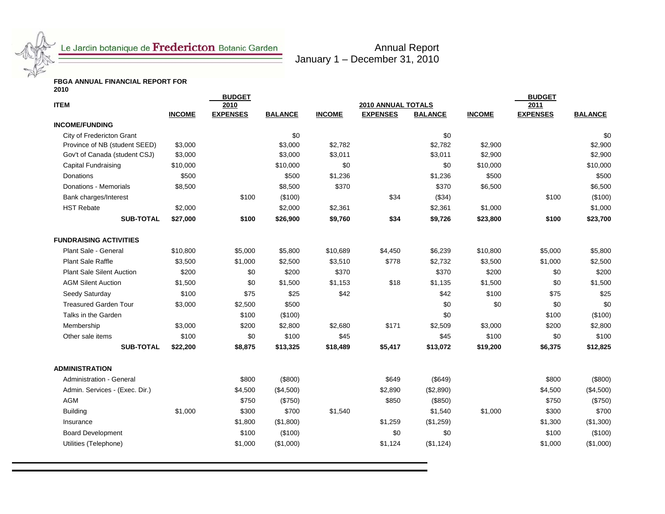

Annual Report January 1 – December 31, 2010

# **FBGA ANNUAL FINANCIAL REPORT FOR 2010**

|                                                                |                    | <b>BUDGET</b>   |                    |                    |                    |                    |                    | <b>BUDGET</b>   |                    |
|----------------------------------------------------------------|--------------------|-----------------|--------------------|--------------------|--------------------|--------------------|--------------------|-----------------|--------------------|
| <b>ITEM</b>                                                    |                    | 2010            |                    |                    | 2010 ANNUAL TOTALS |                    |                    | 2011            |                    |
|                                                                | <b>INCOME</b>      | <b>EXPENSES</b> | <b>BALANCE</b>     | <b>INCOME</b>      | <b>EXPENSES</b>    | <b>BALANCE</b>     | <b>INCOME</b>      | <b>EXPENSES</b> | <b>BALANCE</b>     |
| <b>INCOME/FUNDING</b>                                          |                    |                 |                    |                    |                    |                    |                    |                 |                    |
| City of Fredericton Grant                                      |                    |                 | \$0                |                    |                    | \$0                |                    |                 | \$0                |
| Province of NB (student SEED)<br>Gov't of Canada (student CSJ) | \$3,000<br>\$3,000 |                 | \$3,000<br>\$3,000 | \$2,782<br>\$3,011 |                    | \$2,782<br>\$3,011 | \$2,900<br>\$2,900 |                 | \$2,900<br>\$2,900 |
|                                                                | \$10,000           |                 | \$10,000           | \$0                |                    | \$0                | \$10,000           |                 | \$10,000           |
| Capital Fundraising<br>Donations                               | \$500              |                 | \$500              | \$1,236            |                    | \$1,236            | \$500              |                 | \$500              |
| Donations - Memorials                                          | \$8,500            |                 | \$8,500            | \$370              |                    | \$370              |                    |                 | \$6,500            |
|                                                                |                    | \$100           | (\$100)            |                    | \$34               |                    | \$6,500            | \$100           |                    |
| Bank charges/Interest                                          |                    |                 |                    |                    |                    | (\$34)             |                    |                 | (\$100)            |
| <b>HST Rebate</b>                                              | \$2,000            |                 | \$2,000            | \$2,361            |                    | \$2,361            | \$1,000            |                 | \$1,000            |
| <b>SUB-TOTAL</b>                                               | \$27,000           | \$100           | \$26,900           | \$9,760            | \$34               | \$9,726            | \$23,800           | \$100           | \$23,700           |
| <b>FUNDRAISING ACTIVITIES</b>                                  |                    |                 |                    |                    |                    |                    |                    |                 |                    |
| Plant Sale - General                                           | \$10,800           | \$5,000         | \$5,800            | \$10,689           | \$4,450            | \$6,239            | \$10,800           | \$5,000         | \$5,800            |
| Plant Sale Raffle                                              | \$3,500            | \$1,000         | \$2,500            | \$3,510            | \$778              | \$2,732            | \$3,500            | \$1,000         | \$2,500            |
| <b>Plant Sale Silent Auction</b>                               | \$200              | \$0             | \$200              | \$370              |                    | \$370              | \$200              | \$0             | \$200              |
| <b>AGM Silent Auction</b>                                      | \$1,500            | \$0             | \$1,500            | \$1,153            | \$18               | \$1,135            | \$1,500            | \$0             | \$1,500            |
| Seedy Saturday                                                 | \$100              | \$75            | \$25               | \$42               |                    | \$42               | \$100              | \$75            | \$25               |
| <b>Treasured Garden Tour</b>                                   | \$3,000            | \$2,500         | \$500              |                    |                    | \$0                | \$0                | \$0             | \$0                |
| Talks in the Garden                                            |                    | \$100           | (\$100)            |                    |                    | \$0                |                    | \$100           | (\$100)            |
| Membership                                                     | \$3,000            | \$200           | \$2,800            | \$2,680            | \$171              | \$2,509            | \$3,000            | \$200           | \$2,800            |
| Other sale items                                               | \$100              | \$0             | \$100              | \$45               |                    | \$45               | \$100              | \$0             | \$100              |
| <b>SUB-TOTAL</b>                                               | \$22,200           | \$8,875         | \$13,325           | \$18,489           | \$5,417            | \$13,072           | \$19,200           | \$6,375         | \$12,825           |
| <b>ADMINISTRATION</b>                                          |                    |                 |                    |                    |                    |                    |                    |                 |                    |
| <b>Administration - General</b>                                |                    | \$800           | (\$800)            |                    | \$649              | (\$649)            |                    | \$800           | (\$800)            |
| Admin. Services - (Exec. Dir.)                                 |                    | \$4,500         | (\$4,500)          |                    | \$2,890            | (\$2,890)          |                    | \$4,500         | (\$4,500)          |
| <b>AGM</b>                                                     |                    | \$750           | (\$750)            |                    | \$850              | (\$850)            |                    | \$750           | (\$750)            |
| <b>Building</b>                                                | \$1,000            | \$300           | \$700              | \$1,540            |                    | \$1,540            | \$1,000            | \$300           | \$700              |
| Insurance                                                      |                    | \$1,800         | (\$1,800)          |                    | \$1,259            | (\$1,259)          |                    | \$1,300         | (\$1,300)          |
| <b>Board Development</b>                                       |                    | \$100           | (\$100)            |                    | \$0                | \$0                |                    | \$100           | (\$100)            |
| Utilities (Telephone)                                          |                    | \$1,000         | (\$1,000)          |                    | \$1,124            | (\$1,124)          |                    | \$1,000         | (\$1,000)          |
|                                                                |                    |                 |                    |                    |                    |                    |                    |                 |                    |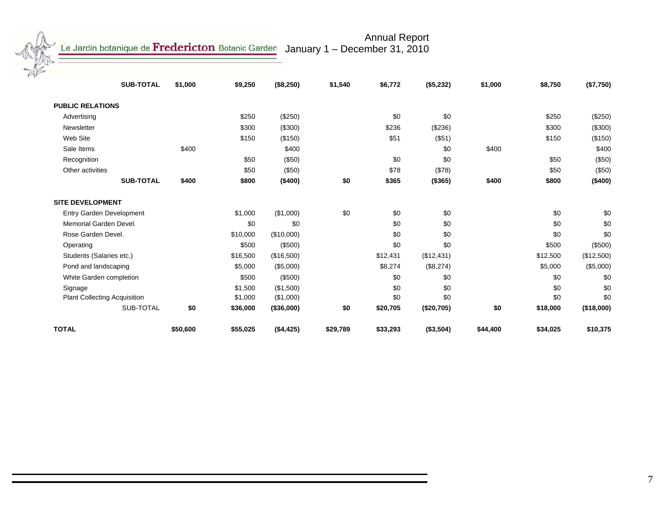January 1 – December 31, 2010

Annual Report

**SUB-TOTAL \$1,000 \$9,250 (\$8,250) \$1,540 \$6,772 (\$5,232) \$1,000 \$8,750 (\$7,750)** 

| <b>PUBLIC RELATIONS</b>         |          |          |            |          |          |            |          |          |            |
|---------------------------------|----------|----------|------------|----------|----------|------------|----------|----------|------------|
| Advertising                     |          | \$250    | (\$250)    |          | \$0      | \$0        |          | \$250    | (\$250)    |
| Newsletter                      |          | \$300    | (\$300)    |          | \$236    | (\$236)    |          | \$300    | $(\$300)$  |
| Web Site                        |          | \$150    | (\$150)    |          | \$51     | (\$51)     |          | \$150    | (\$150)    |
| Sale Items                      | \$400    |          | \$400      |          |          | \$0        | \$400    |          | \$400      |
| Recognition                     |          | \$50     | (\$50)     |          | \$0      | \$0        |          | \$50     | (\$50)     |
| Other activities                |          | \$50     | (\$50)     |          | \$78     | (\$78)     |          | \$50     | (\$50)     |
| <b>SUB-TOTAL</b>                | \$400    | \$800    | (\$400)    | \$0      | \$365    | (\$365)    | \$400    | \$800    | (\$400)    |
| <b>SITE DEVELOPMENT</b>         |          |          |            |          |          |            |          |          |            |
| <b>Entry Garden Development</b> |          | \$1,000  | (\$1,000)  | \$0      | \$0      | \$0        |          | \$0      | \$0        |
| Memorial Garden Devel.          |          | \$0      | \$0        |          | \$0      | \$0        |          | \$0      | \$0        |
| Rose Garden Devel.              |          | \$10,000 | (\$10,000) |          | \$0      | \$0        |          | \$0      | \$0        |
| Operating                       |          | \$500    | (\$500)    |          | \$0      | \$0        |          | \$500    | $(\$500)$  |
| Students (Salaries etc.)        |          | \$16,500 | (\$16,500) |          | \$12,431 | (\$12,431) |          | \$12,500 | (\$12,500) |
| Pond and landscaping            |          | \$5,000  | (\$5,000)  |          | \$8,274  | (\$8,274)  |          | \$5,000  | (\$5,000)  |
| White Garden completion         |          | \$500    | (\$500)    |          | \$0      | \$0        |          | \$0      | \$0        |
| Signage                         |          | \$1,500  | (\$1,500)  |          | \$0      | \$0        |          | \$0      | \$0        |
| Plant Collecting Acquisition    |          | \$1,000  | (\$1,000)  |          | \$0      | \$0        |          | \$0      | \$0        |
| SUB-TOTAL                       | \$0      | \$36,000 | (\$36,000) | \$0      | \$20,705 | (\$20,705) | \$0      | \$18,000 | (\$18,000) |
| <b>TOTAL</b>                    | \$50,600 | \$55,025 | (\$4,425)  | \$29,789 | \$33,293 | (\$3,504)  | \$44,400 | \$34,025 | \$10,375   |

7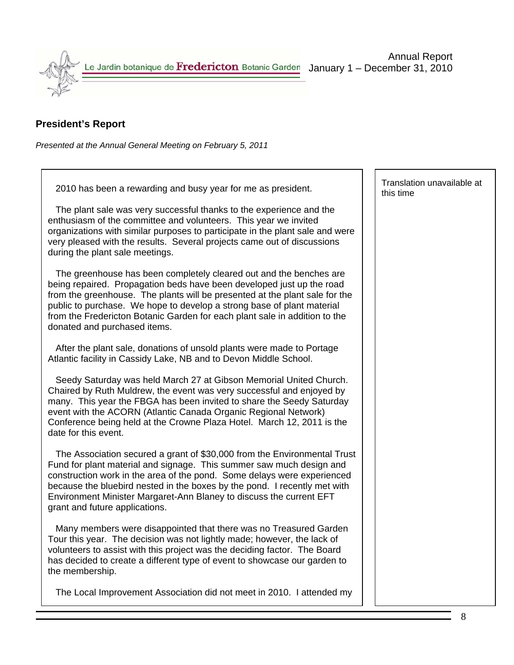

# **President's Report**

*Presented at the Annual General Meeting on February 5, 2011*

2010 has been a rewarding and busy year for me as president.

 The plant sale was very successful thanks to the experience and the enthusiasm of the committee and volunteers. This year we invited organizations with similar purposes to participate in the plant sale and were very pleased with the results. Several projects came out of discussions during the plant sale meetings.

 The greenhouse has been completely cleared out and the benches are being repaired. Propagation beds have been developed just up the road from the greenhouse. The plants will be presented at the plant sale for the public to purchase. We hope to develop a strong base of plant material from the Fredericton Botanic Garden for each plant sale in addition to the donated and purchased items.

 After the plant sale, donations of unsold plants were made to Portage Atlantic facility in Cassidy Lake, NB and to Devon Middle School.

 Seedy Saturday was held March 27 at Gibson Memorial United Church. Chaired by Ruth Muldrew, the event was very successful and enjoyed by many. This year the FBGA has been invited to share the Seedy Saturday event with the ACORN (Atlantic Canada Organic Regional Network) Conference being held at the Crowne Plaza Hotel. March 12, 2011 is the date for this event.

 The Association secured a grant of \$30,000 from the Environmental Trust Fund for plant material and signage. This summer saw much design and construction work in the area of the pond. Some delays were experienced because the bluebird nested in the boxes by the pond. I recently met with Environment Minister Margaret-Ann Blaney to discuss the current EFT grant and future applications.

 Many members were disappointed that there was no Treasured Garden Tour this year. The decision was not lightly made; however, the lack of volunteers to assist with this project was the deciding factor. The Board has decided to create a different type of event to showcase our garden to the membership.

The Local Improvement Association did not meet in 2010. I attended my

Translation unavailable at this time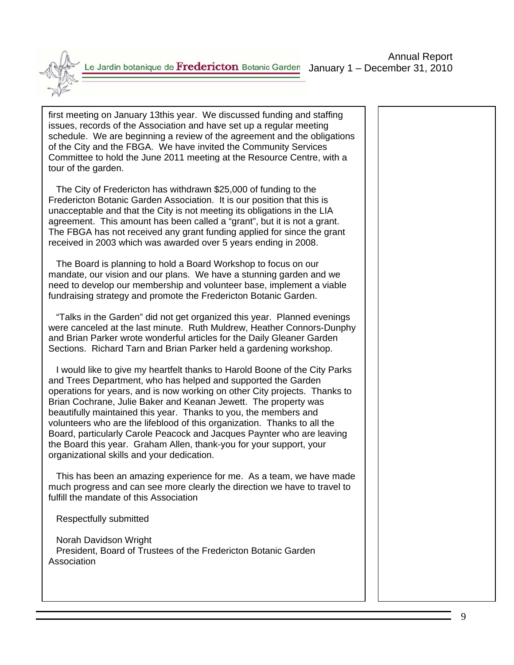

first meeting on January 13this year. We discussed funding and staffing issues, records of the Association and have set up a regular meeting schedule. We are beginning a review of the agreement and the obligations of the City and the FBGA. We have invited the Community Services Committee to hold the June 2011 meeting at the Resource Centre, with a tour of the garden.

 The City of Fredericton has withdrawn \$25,000 of funding to the Fredericton Botanic Garden Association. It is our position that this is unacceptable and that the City is not meeting its obligations in the LIA agreement. This amount has been called a "grant", but it is not a grant. The FBGA has not received any grant funding applied for since the grant received in 2003 which was awarded over 5 years ending in 2008.

 The Board is planning to hold a Board Workshop to focus on our mandate, our vision and our plans. We have a stunning garden and we need to develop our membership and volunteer base, implement a viable fundraising strategy and promote the Fredericton Botanic Garden.

 "Talks in the Garden" did not get organized this year. Planned evenings were canceled at the last minute. Ruth Muldrew, Heather Connors-Dunphy and Brian Parker wrote wonderful articles for the Daily Gleaner Garden Sections. Richard Tarn and Brian Parker held a gardening workshop.

 I would like to give my heartfelt thanks to Harold Boone of the City Parks and Trees Department, who has helped and supported the Garden operations for years, and is now working on other City projects. Thanks to Brian Cochrane, Julie Baker and Keanan Jewett. The property was beautifully maintained this year. Thanks to you, the members and volunteers who are the lifeblood of this organization. Thanks to all the Board, particularly Carole Peacock and Jacques Paynter who are leaving the Board this year. Graham Allen, thank-you for your support, your organizational skills and your dedication.

 This has been an amazing experience for me. As a team, we have made much progress and can see more clearly the direction we have to travel to fulfill the mandate of this Association

Respectfully submitted

 Norah Davidson Wright President, Board of Trustees of the Fredericton Botanic Garden Association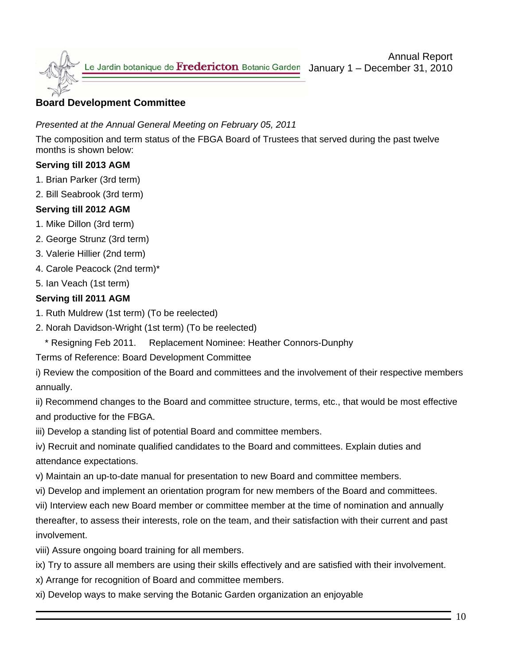

# **Board Development Committee**

# *Presented at the Annual General Meeting on February 05, 2011*

The composition and term status of the FBGA Board of Trustees that served during the past twelve months is shown below:

# **Serving till 2013 AGM**

- 1. Brian Parker (3rd term)
- 2. Bill Seabrook (3rd term)

# **Serving till 2012 AGM**

- 1. Mike Dillon (3rd term)
- 2. George Strunz (3rd term)
- 3. Valerie Hillier (2nd term)
- 4. Carole Peacock (2nd term)\*
- 5. Ian Veach (1st term)

# **Serving till 2011 AGM**

- 1. Ruth Muldrew (1st term) (To be reelected)
- 2. Norah Davidson-Wright (1st term) (To be reelected)
	- \* Resigning Feb 2011. Replacement Nominee: Heather Connors-Dunphy
- Terms of Reference: Board Development Committee
- i) Review the composition of the Board and committees and the involvement of their respective members annually.

ii) Recommend changes to the Board and committee structure, terms, etc., that would be most effective and productive for the FBGA.

iii) Develop a standing list of potential Board and committee members.

iv) Recruit and nominate qualified candidates to the Board and committees. Explain duties and attendance expectations.

- v) Maintain an up-to-date manual for presentation to new Board and committee members.
- vi) Develop and implement an orientation program for new members of the Board and committees.
- vii) Interview each new Board member or committee member at the time of nomination and annually

thereafter, to assess their interests, role on the team, and their satisfaction with their current and past involvement.

- viii) Assure ongoing board training for all members.
- ix) Try to assure all members are using their skills effectively and are satisfied with their involvement.
- x) Arrange for recognition of Board and committee members.
- xi) Develop ways to make serving the Botanic Garden organization an enjoyable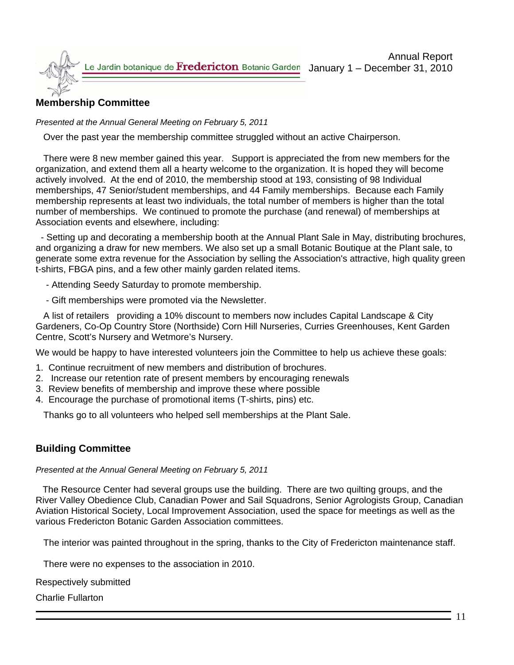# **Membership Committee**

*Presented at the Annual General Meeting on February 5, 2011*

Over the past year the membership committee struggled without an active Chairperson.

There were 8 new member gained this year. Support is appreciated the from new members for the organization, and extend them all a hearty welcome to the organization. It is hoped they will become actively involved. At the end of 2010, the membership stood at 193, consisting of 98 Individual memberships, 47 Senior/student memberships, and 44 Family memberships. Because each Family membership represents at least two individuals, the total number of members is higher than the total number of memberships. We continued to promote the purchase (and renewal) of memberships at Association events and elsewhere, including:

 - Setting up and decorating a membership booth at the Annual Plant Sale in May, distributing brochures, and organizing a draw for new members. We also set up a small Botanic Boutique at the Plant sale, to generate some extra revenue for the Association by selling the Association's attractive, high quality green t-shirts, FBGA pins, and a few other mainly garden related items.

- Attending Seedy Saturday to promote membership.

- Gift memberships were promoted via the Newsletter.

 A list of retailers providing a 10% discount to members now includes Capital Landscape & City Gardeners, Co-Op Country Store (Northside) Corn Hill Nurseries, Curries Greenhouses, Kent Garden Centre, Scott's Nursery and Wetmore's Nursery.

We would be happy to have interested volunteers join the Committee to help us achieve these goals:

- 1. Continue recruitment of new members and distribution of brochures.
- 2. Increase our retention rate of present members by encouraging renewals
- 3. Review benefits of membership and improve these where possible
- 4. Encourage the purchase of promotional items (T-shirts, pins) etc.

Thanks go to all volunteers who helped sell memberships at the Plant Sale.

# **Building Committee**

*Presented at the Annual General Meeting on February 5, 2011* 

 The Resource Center had several groups use the building. There are two quilting groups, and the River Valley Obedience Club, Canadian Power and Sail Squadrons, Senior Agrologists Group, Canadian Aviation Historical Society, Local Improvement Association, used the space for meetings as well as the various Fredericton Botanic Garden Association committees.

The interior was painted throughout in the spring, thanks to the City of Fredericton maintenance staff.

There were no expenses to the association in 2010.

Respectively submitted

Charlie Fullarton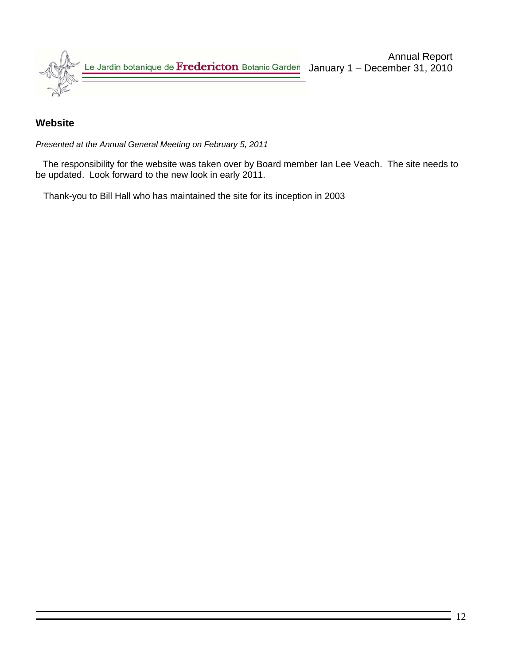

# **Website**

*Presented at the Annual General Meeting on February 5, 2011* 

The responsibility for the website was taken over by Board member Ian Lee Veach. The site needs to be updated. Look forward to the new look in early 2011.

Thank-you to Bill Hall who has maintained the site for its inception in 2003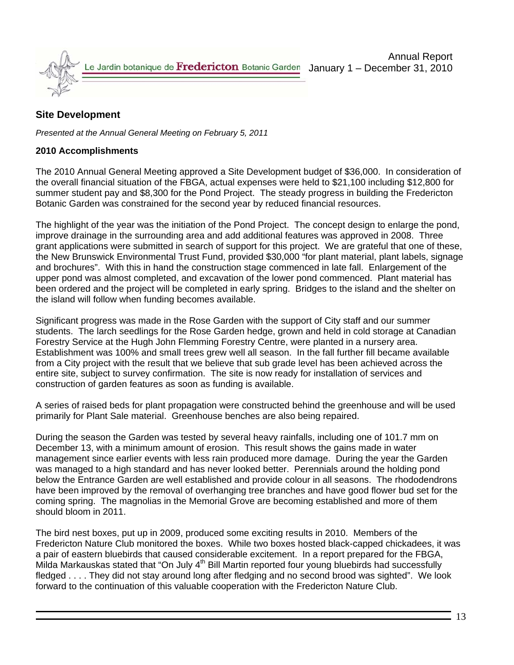

# **Site Development**

*Presented at the Annual General Meeting on February 5, 2011* 

#### **2010 Accomplishments**

The 2010 Annual General Meeting approved a Site Development budget of \$36,000. In consideration of the overall financial situation of the FBGA, actual expenses were held to \$21,100 including \$12,800 for summer student pay and \$8,300 for the Pond Project. The steady progress in building the Fredericton Botanic Garden was constrained for the second year by reduced financial resources.

The highlight of the year was the initiation of the Pond Project. The concept design to enlarge the pond, improve drainage in the surrounding area and add additional features was approved in 2008. Three grant applications were submitted in search of support for this project. We are grateful that one of these, the New Brunswick Environmental Trust Fund, provided \$30,000 "for plant material, plant labels, signage and brochures". With this in hand the construction stage commenced in late fall. Enlargement of the upper pond was almost completed, and excavation of the lower pond commenced. Plant material has been ordered and the project will be completed in early spring. Bridges to the island and the shelter on the island will follow when funding becomes available.

Significant progress was made in the Rose Garden with the support of City staff and our summer students. The larch seedlings for the Rose Garden hedge, grown and held in cold storage at Canadian Forestry Service at the Hugh John Flemming Forestry Centre, were planted in a nursery area. Establishment was 100% and small trees grew well all season. In the fall further fill became available from a City project with the result that we believe that sub grade level has been achieved across the entire site, subject to survey confirmation. The site is now ready for installation of services and construction of garden features as soon as funding is available.

A series of raised beds for plant propagation were constructed behind the greenhouse and will be used primarily for Plant Sale material. Greenhouse benches are also being repaired.

During the season the Garden was tested by several heavy rainfalls, including one of 101.7 mm on December 13, with a minimum amount of erosion. This result shows the gains made in water management since earlier events with less rain produced more damage. During the year the Garden was managed to a high standard and has never looked better. Perennials around the holding pond below the Entrance Garden are well established and provide colour in all seasons. The rhododendrons have been improved by the removal of overhanging tree branches and have good flower bud set for the coming spring. The magnolias in the Memorial Grove are becoming established and more of them should bloom in 2011.

The bird nest boxes, put up in 2009, produced some exciting results in 2010. Members of the Fredericton Nature Club monitored the boxes. While two boxes hosted black-capped chickadees, it was a pair of eastern bluebirds that caused considerable excitement. In a report prepared for the FBGA, Milda Markauskas stated that "On July 4<sup>th</sup> Bill Martin reported four young bluebirds had successfully fledged . . . . They did not stay around long after fledging and no second brood was sighted". We look forward to the continuation of this valuable cooperation with the Fredericton Nature Club.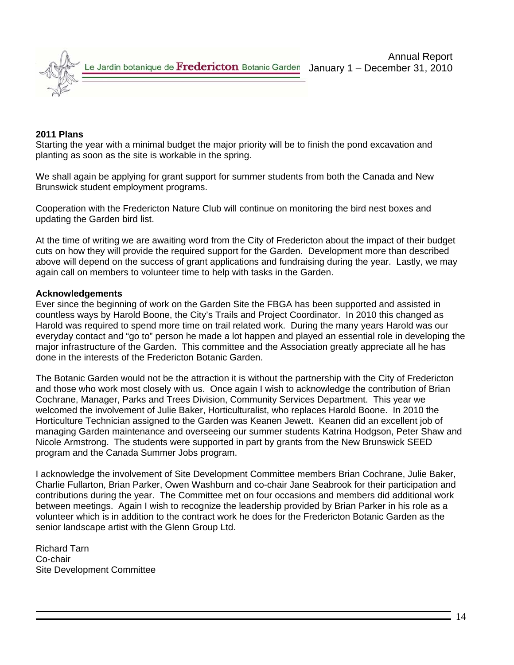

#### **2011 Plans**

Starting the year with a minimal budget the major priority will be to finish the pond excavation and planting as soon as the site is workable in the spring.

We shall again be applying for grant support for summer students from both the Canada and New Brunswick student employment programs.

Cooperation with the Fredericton Nature Club will continue on monitoring the bird nest boxes and updating the Garden bird list.

At the time of writing we are awaiting word from the City of Fredericton about the impact of their budget cuts on how they will provide the required support for the Garden. Development more than described above will depend on the success of grant applications and fundraising during the year. Lastly, we may again call on members to volunteer time to help with tasks in the Garden.

#### **Acknowledgements**

Ever since the beginning of work on the Garden Site the FBGA has been supported and assisted in countless ways by Harold Boone, the City's Trails and Project Coordinator. In 2010 this changed as Harold was required to spend more time on trail related work. During the many years Harold was our everyday contact and "go to" person he made a lot happen and played an essential role in developing the major infrastructure of the Garden. This committee and the Association greatly appreciate all he has done in the interests of the Fredericton Botanic Garden.

The Botanic Garden would not be the attraction it is without the partnership with the City of Fredericton and those who work most closely with us. Once again I wish to acknowledge the contribution of Brian Cochrane, Manager, Parks and Trees Division, Community Services Department. This year we welcomed the involvement of Julie Baker, Horticulturalist, who replaces Harold Boone. In 2010 the Horticulture Technician assigned to the Garden was Keanen Jewett. Keanen did an excellent job of managing Garden maintenance and overseeing our summer students Katrina Hodgson, Peter Shaw and Nicole Armstrong. The students were supported in part by grants from the New Brunswick SEED program and the Canada Summer Jobs program.

I acknowledge the involvement of Site Development Committee members Brian Cochrane, Julie Baker, Charlie Fullarton, Brian Parker, Owen Washburn and co-chair Jane Seabrook for their participation and contributions during the year. The Committee met on four occasions and members did additional work between meetings. Again I wish to recognize the leadership provided by Brian Parker in his role as a volunteer which is in addition to the contract work he does for the Fredericton Botanic Garden as the senior landscape artist with the Glenn Group Ltd.

Richard Tarn Co-chair Site Development Committee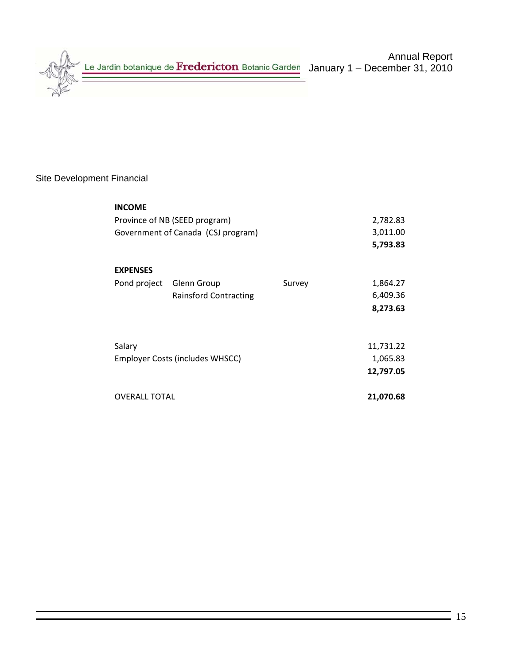

# Site Development Financial

| <b>INCOME</b>                      |                                 |          |           |  |  |  |  |  |
|------------------------------------|---------------------------------|----------|-----------|--|--|--|--|--|
|                                    | Province of NB (SEED program)   |          |           |  |  |  |  |  |
| Government of Canada (CSJ program) |                                 | 3,011.00 |           |  |  |  |  |  |
|                                    |                                 |          | 5,793.83  |  |  |  |  |  |
| <b>EXPENSES</b>                    |                                 |          |           |  |  |  |  |  |
| Pond project                       | Glenn Group                     | Survey   | 1,864.27  |  |  |  |  |  |
|                                    | <b>Rainsford Contracting</b>    |          | 6,409.36  |  |  |  |  |  |
|                                    |                                 |          | 8,273.63  |  |  |  |  |  |
|                                    |                                 |          |           |  |  |  |  |  |
| Salary                             |                                 |          | 11,731.22 |  |  |  |  |  |
|                                    | Employer Costs (includes WHSCC) |          | 1,065.83  |  |  |  |  |  |
|                                    |                                 |          | 12,797.05 |  |  |  |  |  |
| <b>OVERALL TOTAL</b>               |                                 |          | 21,070.68 |  |  |  |  |  |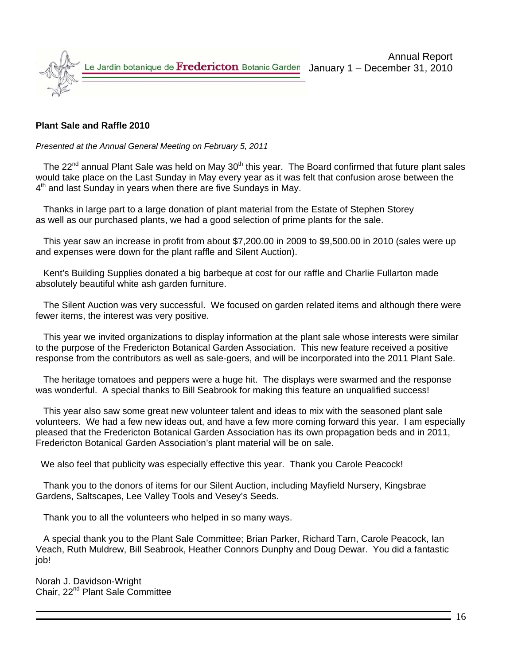

#### **Plant Sale and Raffle 2010**

*Presented at the Annual General Meeting on February 5, 2011*

The  $22^{nd}$  annual Plant Sale was held on May  $30^{th}$  this year. The Board confirmed that future plant sales would take place on the Last Sunday in May every year as it was felt that confusion arose between the  $4<sup>th</sup>$  and last Sunday in years when there are five Sundays in May.

 Thanks in large part to a large donation of plant material from the Estate of Stephen Storey as well as our purchased plants, we had a good selection of prime plants for the sale.

 This year saw an increase in profit from about \$7,200.00 in 2009 to \$9,500.00 in 2010 (sales were up and expenses were down for the plant raffle and Silent Auction).

 Kent's Building Supplies donated a big barbeque at cost for our raffle and Charlie Fullarton made absolutely beautiful white ash garden furniture.

 The Silent Auction was very successful. We focused on garden related items and although there were fewer items, the interest was very positive.

 This year we invited organizations to display information at the plant sale whose interests were similar to the purpose of the Fredericton Botanical Garden Association. This new feature received a positive response from the contributors as well as sale-goers, and will be incorporated into the 2011 Plant Sale.

 The heritage tomatoes and peppers were a huge hit. The displays were swarmed and the response was wonderful. A special thanks to Bill Seabrook for making this feature an unqualified success!

 This year also saw some great new volunteer talent and ideas to mix with the seasoned plant sale volunteers. We had a few new ideas out, and have a few more coming forward this year. I am especially pleased that the Fredericton Botanical Garden Association has its own propagation beds and in 2011, Fredericton Botanical Garden Association's plant material will be on sale.

We also feel that publicity was especially effective this year. Thank you Carole Peacock!

 Thank you to the donors of items for our Silent Auction, including Mayfield Nursery, Kingsbrae Gardens, Saltscapes, Lee Valley Tools and Vesey's Seeds.

Thank you to all the volunteers who helped in so many ways.

 A special thank you to the Plant Sale Committee; Brian Parker, Richard Tarn, Carole Peacock, Ian Veach, Ruth Muldrew, Bill Seabrook, Heather Connors Dunphy and Doug Dewar. You did a fantastic job!

Norah J. Davidson-Wright Chair, 22nd Plant Sale Committee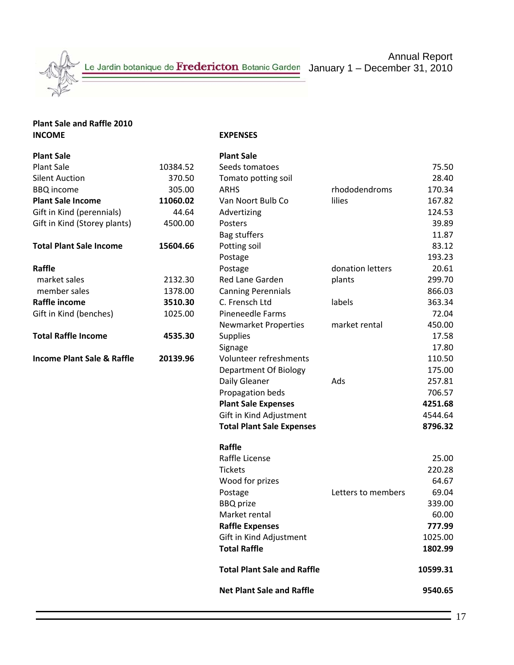

# **Plant Sale and Raffle 2010**

#### **IEXPENSES**

| <b>Plant Sale</b>                     |          | <b>Plant Sale</b>                  |                    |          |
|---------------------------------------|----------|------------------------------------|--------------------|----------|
| <b>Plant Sale</b>                     | 10384.52 | Seeds tomatoes                     |                    | 75.50    |
| <b>Silent Auction</b>                 | 370.50   | Tomato potting soil                |                    | 28.40    |
| <b>BBQ</b> income                     | 305.00   | <b>ARHS</b>                        | rhododendroms      | 170.34   |
| <b>Plant Sale Income</b>              | 11060.02 | Van Noort Bulb Co                  | lilies             | 167.82   |
| Gift in Kind (perennials)             | 44.64    | Advertizing                        |                    | 124.53   |
| Gift in Kind (Storey plants)          | 4500.00  | Posters                            |                    | 39.89    |
|                                       |          | Bag stuffers                       |                    | 11.87    |
| <b>Total Plant Sale Income</b>        | 15604.66 | Potting soil                       |                    | 83.12    |
|                                       |          | Postage                            |                    | 193.23   |
| Raffle                                |          | Postage                            | donation letters   | 20.61    |
| market sales                          | 2132.30  | Red Lane Garden                    | plants             | 299.70   |
| member sales                          | 1378.00  | <b>Canning Perennials</b>          |                    | 866.03   |
| Raffle income                         | 3510.30  | C. Frensch Ltd                     | labels             | 363.34   |
| Gift in Kind (benches)                | 1025.00  | Pineneedle Farms                   |                    | 72.04    |
|                                       |          | <b>Newmarket Properties</b>        | market rental      | 450.00   |
| <b>Total Raffle Income</b>            | 4535.30  | <b>Supplies</b>                    |                    | 17.58    |
|                                       |          | Signage                            |                    | 17.80    |
| <b>Income Plant Sale &amp; Raffle</b> | 20139.96 | Volunteer refreshments             |                    | 110.50   |
|                                       |          | Department Of Biology              |                    | 175.00   |
|                                       |          | Daily Gleaner                      | Ads                | 257.81   |
|                                       |          | Propagation beds                   |                    | 706.57   |
|                                       |          | <b>Plant Sale Expenses</b>         |                    | 4251.68  |
|                                       |          | Gift in Kind Adjustment            |                    | 4544.64  |
|                                       |          | <b>Total Plant Sale Expenses</b>   |                    | 8796.32  |
|                                       |          | Raffle                             |                    |          |
|                                       |          | Raffle License                     |                    | 25.00    |
|                                       |          | <b>Tickets</b>                     |                    | 220.28   |
|                                       |          | Wood for prizes                    |                    | 64.67    |
|                                       |          | Postage                            | Letters to members | 69.04    |
|                                       |          | <b>BBQ</b> prize                   |                    | 339.00   |
|                                       |          | Market rental                      |                    | 60.00    |
|                                       |          | <b>Raffle Expenses</b>             |                    | 777.99   |
|                                       |          | Gift in Kind Adjustment            |                    | 1025.00  |
|                                       |          | <b>Total Raffle</b>                |                    | 1802.99  |
|                                       |          | <b>Total Plant Sale and Raffle</b> |                    | 10599.31 |
|                                       |          | <b>Net Plant Sale and Raffle</b>   |                    | 9540.65  |